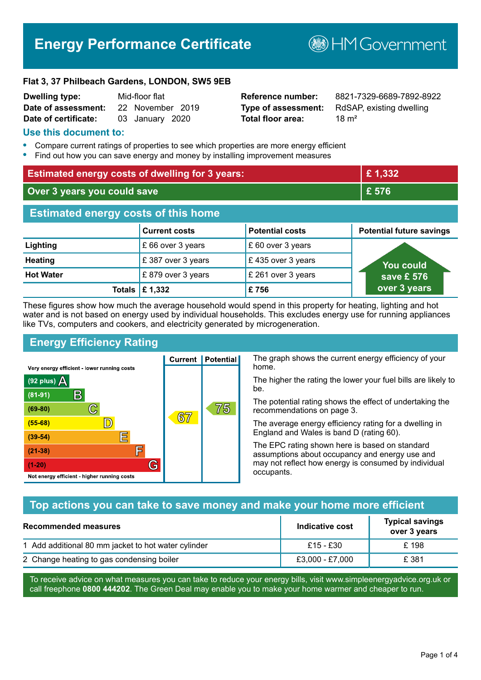# **Energy Performance Certificate**

**B**HM Government

#### **Flat 3, 37 Philbeach Gardens, LONDON, SW5 9EB**

| <b>Dwelling type:</b> | Mid-floor flat |                  |  |
|-----------------------|----------------|------------------|--|
| Date of assessment:   |                | 22 November 2019 |  |
| Date of certificate:  |                | 03 January 2020  |  |

# **Total floor area:** 18 m<sup>2</sup>

**Reference number:** 8821-7329-6689-7892-8922 **Type of assessment:** RdSAP, existing dwelling

#### **Use this document to:**

- **•** Compare current ratings of properties to see which properties are more energy efficient
- **•** Find out how you can save energy and money by installing improvement measures

| <b>Estimated energy costs of dwelling for 3 years:</b> |                                 |                        | £1,332                          |
|--------------------------------------------------------|---------------------------------|------------------------|---------------------------------|
| Over 3 years you could save                            |                                 |                        | £ 576                           |
| <b>Estimated energy costs of this home</b>             |                                 |                        |                                 |
|                                                        | <b>Current costs</b>            | <b>Potential costs</b> | <b>Potential future savings</b> |
| Lighting                                               | £ 66 over 3 years               | £ 60 over 3 years      |                                 |
| <b>Heating</b>                                         | £387 over 3 years               | £435 over 3 years      | <b>You could</b>                |
| <b>Hot Water</b>                                       | £879 over 3 years               | £ 261 over 3 years     | save £ 576                      |
|                                                        | Totals $\mathbf \epsilon$ 1,332 | £756                   | over 3 years                    |

These figures show how much the average household would spend in this property for heating, lighting and hot water and is not based on energy used by individual households. This excludes energy use for running appliances like TVs, computers and cookers, and electricity generated by microgeneration.

**Current | Potential** 

 $67$ 

# **Energy Efficiency Rating**

 $\mathbb{C}$ 

 $\mathbb{D}$ 

E

F

G

Very energy efficient - lower running costs

 $\mathsf{R}% _{T}$ 

Not energy efficient - higher running costs

 $(92$  plus)

 $(81 - 91)$ 

 $(69 - 80)$ 

 $(55-68)$  $(39-54)$ 

 $(21-38)$ 

 $(1-20)$ 

- 70

The graph shows the current energy efficiency of your home.

The higher the rating the lower your fuel bills are likely to be.

The potential rating shows the effect of undertaking the recommendations on page 3.

The average energy efficiency rating for a dwelling in England and Wales is band D (rating 60).

The EPC rating shown here is based on standard assumptions about occupancy and energy use and may not reflect how energy is consumed by individual occupants.

# **Top actions you can take to save money and make your home more efficient**

75

| Recommended measures                                | Indicative cost | <b>Typical savings</b><br>over 3 years |
|-----------------------------------------------------|-----------------|----------------------------------------|
| 1 Add additional 80 mm jacket to hot water cylinder | £15 - £30       | £198                                   |
| 2 Change heating to gas condensing boiler           | £3,000 - £7,000 | £ 381                                  |

To receive advice on what measures you can take to reduce your energy bills, visit www.simpleenergyadvice.org.uk or call freephone **0800 444202**. The Green Deal may enable you to make your home warmer and cheaper to run.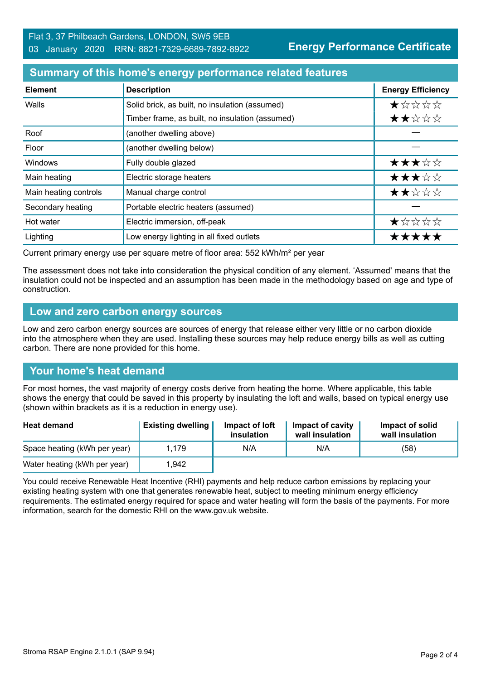**Energy Performance Certificate**

#### **Summary of this home's energy performance related features**

| <b>Element</b>        | <b>Description</b>                              | <b>Energy Efficiency</b> |
|-----------------------|-------------------------------------------------|--------------------------|
| Walls                 | Solid brick, as built, no insulation (assumed)  | *****                    |
|                       | Timber frame, as built, no insulation (assumed) | ★★☆☆☆                    |
| Roof                  | (another dwelling above)                        |                          |
| Floor                 | (another dwelling below)                        |                          |
| <b>Windows</b>        | Fully double glazed                             | ★★★☆☆                    |
| Main heating          | Electric storage heaters                        | ★★★☆☆                    |
| Main heating controls | Manual charge control                           | ★★☆☆☆                    |
| Secondary heating     | Portable electric heaters (assumed)             |                          |
| Hot water             | Electric immersion, off-peak                    | ★☆☆☆☆                    |
| Lighting              | Low energy lighting in all fixed outlets        | *****                    |

Current primary energy use per square metre of floor area: 552 kWh/m² per year

The assessment does not take into consideration the physical condition of any element. 'Assumed' means that the insulation could not be inspected and an assumption has been made in the methodology based on age and type of construction.

#### **Low and zero carbon energy sources**

Low and zero carbon energy sources are sources of energy that release either very little or no carbon dioxide into the atmosphere when they are used. Installing these sources may help reduce energy bills as well as cutting carbon. There are none provided for this home.

# **Your home's heat demand**

For most homes, the vast majority of energy costs derive from heating the home. Where applicable, this table shows the energy that could be saved in this property by insulating the loft and walls, based on typical energy use (shown within brackets as it is a reduction in energy use).

| <b>Heat demand</b>           | <b>Existing dwelling</b> | Impact of loft<br>insulation | Impact of cavity<br>wall insulation | Impact of solid<br>wall insulation |
|------------------------------|--------------------------|------------------------------|-------------------------------------|------------------------------------|
| Space heating (kWh per year) | 1.179                    | N/A                          | N/A                                 | (58)                               |
| Water heating (kWh per year) | 1,942                    |                              |                                     |                                    |

You could receive Renewable Heat Incentive (RHI) payments and help reduce carbon emissions by replacing your existing heating system with one that generates renewable heat, subject to meeting minimum energy efficiency requirements. The estimated energy required for space and water heating will form the basis of the payments. For more information, search for the domestic RHI on the www.gov.uk website.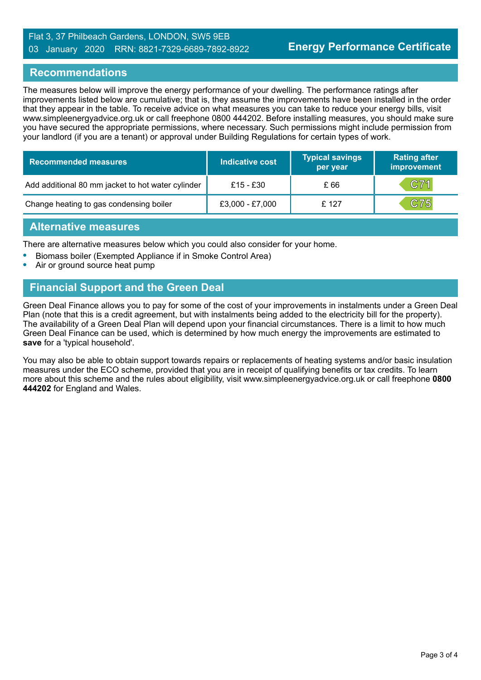#### Flat 3, 37 Philbeach Gardens, LONDON, SW5 9EB 03 January 2020 RRN: 8821-7329-6689-7892-8922

#### **Recommendations**

The measures below will improve the energy performance of your dwelling. The performance ratings after improvements listed below are cumulative; that is, they assume the improvements have been installed in the order that they appear in the table. To receive advice on what measures you can take to reduce your energy bills, visit www.simpleenergyadvice.org.uk or call freephone 0800 444202. Before installing measures, you should make sure you have secured the appropriate permissions, where necessary. Such permissions might include permission from your landlord (if you are a tenant) or approval under Building Regulations for certain types of work.

| <b>Recommended measures</b>                       | <b>Indicative cost</b> | <b>Typical savings</b><br>per year | <b>Rating after</b><br>improvement |
|---------------------------------------------------|------------------------|------------------------------------|------------------------------------|
| Add additional 80 mm jacket to hot water cylinder | £15 - £30              | £ 66                               | C71                                |
| Change heating to gas condensing boiler           | £3,000 - £7,000        | £ 127                              | C75                                |

#### **Alternative measures**

There are alternative measures below which you could also consider for your home.

- **•** Biomass boiler (Exempted Appliance if in Smoke Control Area)
- **•** Air or ground source heat pump

# **Financial Support and the Green Deal**

Green Deal Finance allows you to pay for some of the cost of your improvements in instalments under a Green Deal Plan (note that this is a credit agreement, but with instalments being added to the electricity bill for the property). The availability of a Green Deal Plan will depend upon your financial circumstances. There is a limit to how much Green Deal Finance can be used, which is determined by how much energy the improvements are estimated to **save** for a 'typical household'.

You may also be able to obtain support towards repairs or replacements of heating systems and/or basic insulation measures under the ECO scheme, provided that you are in receipt of qualifying benefits or tax credits. To learn more about this scheme and the rules about eligibility, visit www.simpleenergyadvice.org.uk or call freephone **0800 444202** for England and Wales.